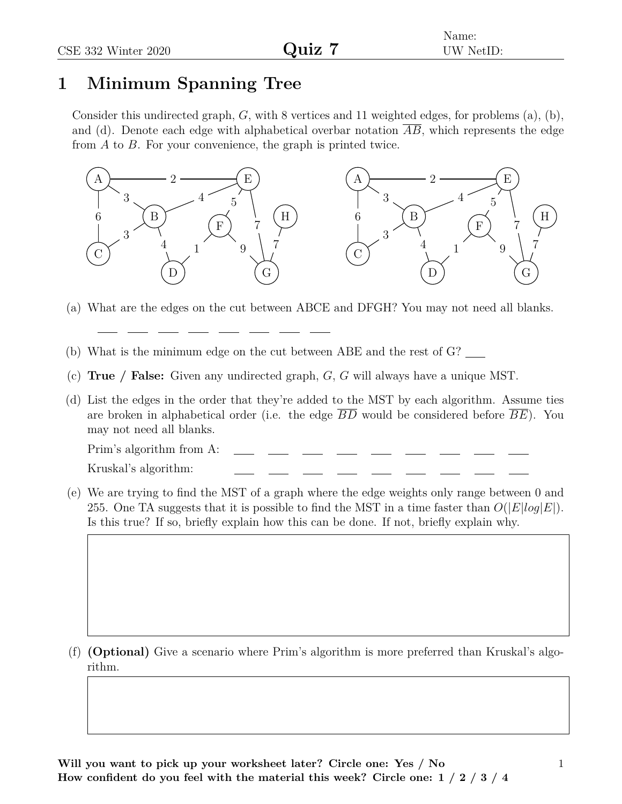Name: UW NetID:

## **1 Minimum Spanning Tree**

Consider this undirected graph, *G*, with 8 vertices and 11 weighted edges, for problems (a), (b), and (d). Denote each edge with alphabetical overbar notation *AB*, which represents the edge from *A* to *B*. For your convenience, the graph is printed twice.



- (a) What are the edges on the cut between ABCE and DFGH? You may not need all blanks.
- (b) What is the minimum edge on the cut between ABE and the rest of G?
- (c) **True / False:** Given any undirected graph, *G*, *G* will always have a unique MST.
- (d) List the edges in the order that they're added to the MST by each algorithm. Assume ties are broken in alphabetical order (i.e. the edge *BD* would be considered before *BE*). You may not need all blanks.

Prim's algorithm from A:

Kruskal's algorithm:

(e) We are trying to find the MST of a graph where the edge weights only range between 0 and 255. One TA suggests that it is possible to find the MST in a time faster than  $O(|E|log|E|)$ . Is this true? If so, briefly explain how this can be done. If not, briefly explain why.

(f) **(Optional)** Give a scenario where Prim's algorithm is more preferred than Kruskal's algorithm.